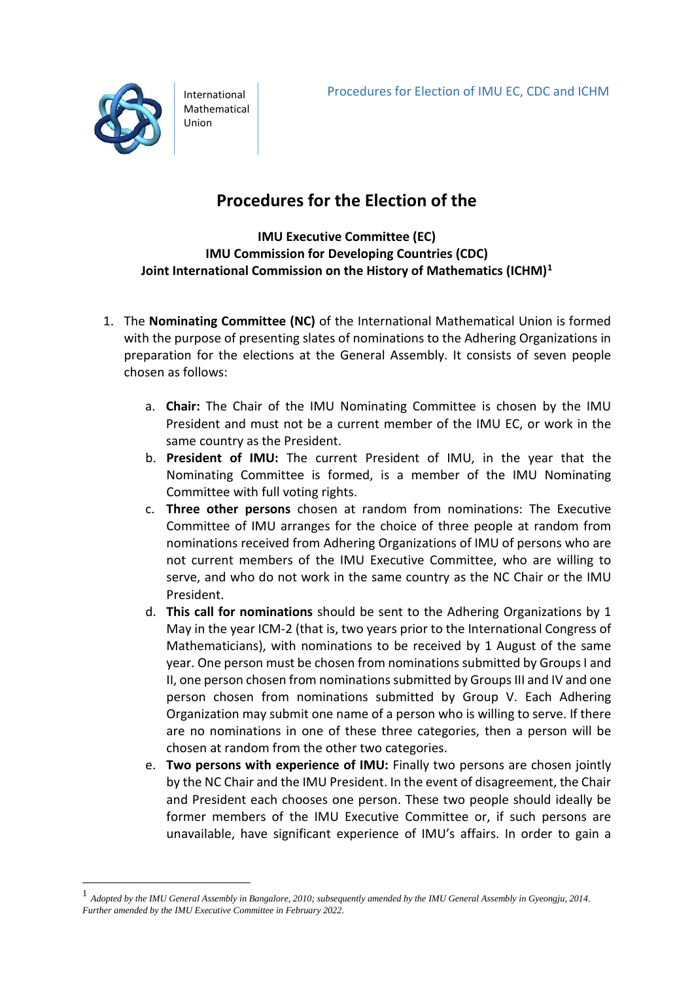

International Mathematical Union

# **Procedures for the Election of the**

### **IMU Executive Committee (EC) IMU Commission for Developing Countries (CDC) Joint International Commission on the History of Mathematics (ICHM)[1](#page-0-0)**

- 1. The **Nominating Committee (NC)** of the International Mathematical Union is formed with the purpose of presenting slates of nominations to the Adhering Organizations in preparation for the elections at the General Assembly. It consists of seven people chosen as follows:
	- a. **Chair:** The Chair of the IMU Nominating Committee is chosen by the IMU President and must not be a current member of the IMU EC, or work in the same country as the President.
	- b. **President of IMU:** The current President of IMU, in the year that the Nominating Committee is formed, is a member of the IMU Nominating Committee with full voting rights.
	- c. **Three other persons** chosen at random from nominations: The Executive Committee of IMU arranges for the choice of three people at random from nominations received from Adhering Organizations of IMU of persons who are not current members of the IMU Executive Committee, who are willing to serve, and who do not work in the same country as the NC Chair or the IMU President.
	- d. **This call for nominations** should be sent to the Adhering Organizations by 1 May in the year ICM-2 (that is, two years prior to the International Congress of Mathematicians), with nominations to be received by 1 August of the same year. One person must be chosen from nominations submitted by Groups I and II, one person chosen from nominations submitted by Groups III and IV and one person chosen from nominations submitted by Group V. Each Adhering Organization may submit one name of a person who is willing to serve. If there are no nominations in one of these three categories, then a person will be chosen at random from the other two categories.
	- e. **Two persons with experience of IMU:** Finally two persons are chosen jointly by the NC Chair and the IMU President. In the event of disagreement, the Chair and President each chooses one person. These two people should ideally be former members of the IMU Executive Committee or, if such persons are unavailable, have significant experience of IMU's affairs. In order to gain a

<span id="page-0-0"></span> <sup>1</sup> *Adopted by the IMU General Assembly in Bangalore, 2010; subsequently amended by the IMU General Assembly in Gyeongju, 2014. Further amended by the IMU Executive Committee in February 2022.*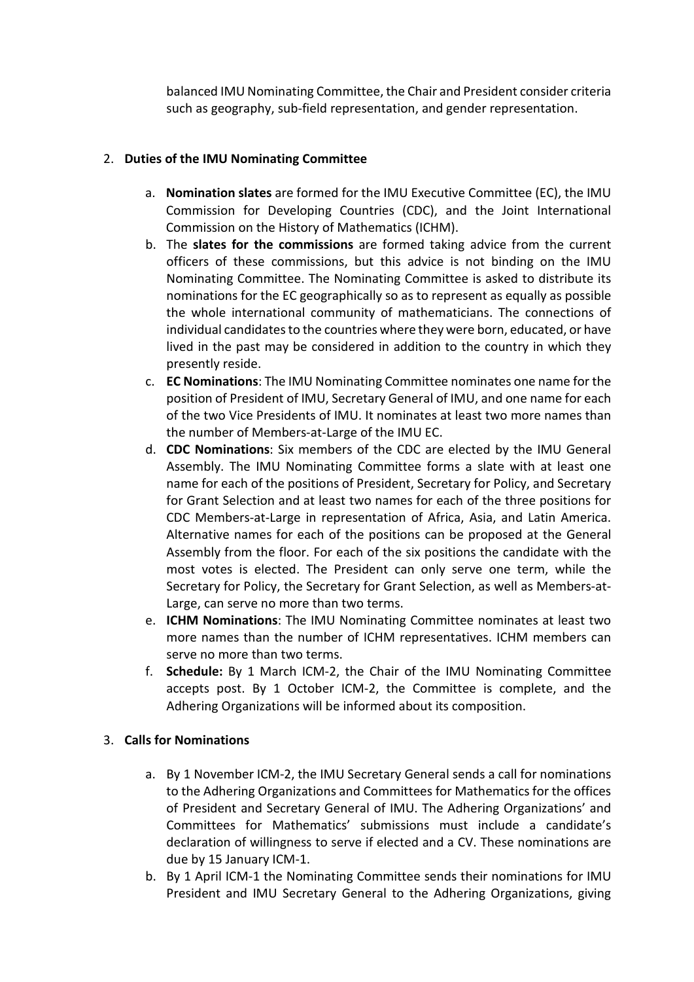balanced IMU Nominating Committee, the Chair and President consider criteria such as geography, sub-field representation, and gender representation.

# 2. **Duties of the IMU Nominating Committee**

- a. **Nomination slates** are formed for the IMU Executive Committee (EC), the IMU Commission for Developing Countries (CDC), and the Joint International Commission on the History of Mathematics (ICHM).
- b. The **slates for the commissions** are formed taking advice from the current officers of these commissions, but this advice is not binding on the IMU Nominating Committee. The Nominating Committee is asked to distribute its nominations for the EC geographically so as to represent as equally as possible the whole international community of mathematicians. The connections of individual candidates to the countries where they were born, educated, or have lived in the past may be considered in addition to the country in which they presently reside.
- c. **EC Nominations**: The IMU Nominating Committee nominates one name for the position of President of IMU, Secretary General of IMU, and one name for each of the two Vice Presidents of IMU. It nominates at least two more names than the number of Members-at-Large of the IMU EC.
- d. **CDC Nominations**: Six members of the CDC are elected by the IMU General Assembly. The IMU Nominating Committee forms a slate with at least one name for each of the positions of President, Secretary for Policy, and Secretary for Grant Selection and at least two names for each of the three positions for CDC Members-at-Large in representation of Africa, Asia, and Latin America. Alternative names for each of the positions can be proposed at the General Assembly from the floor. For each of the six positions the candidate with the most votes is elected. The President can only serve one term, while the Secretary for Policy, the Secretary for Grant Selection, as well as Members-at-Large, can serve no more than two terms.
- e. **ICHM Nominations**: The IMU Nominating Committee nominates at least two more names than the number of ICHM representatives. ICHM members can serve no more than two terms.
- f. **Schedule:** By 1 March ICM-2, the Chair of the IMU Nominating Committee accepts post. By 1 October ICM-2, the Committee is complete, and the Adhering Organizations will be informed about its composition.

## 3. **Calls for Nominations**

- a. By 1 November ICM-2, the IMU Secretary General sends a call for nominations to the Adhering Organizations and Committees for Mathematics for the offices of President and Secretary General of IMU. The Adhering Organizations' and Committees for Mathematics' submissions must include a candidate's declaration of willingness to serve if elected and a CV. These nominations are due by 15 January ICM-1.
- b. By 1 April ICM-1 the Nominating Committee sends their nominations for IMU President and IMU Secretary General to the Adhering Organizations, giving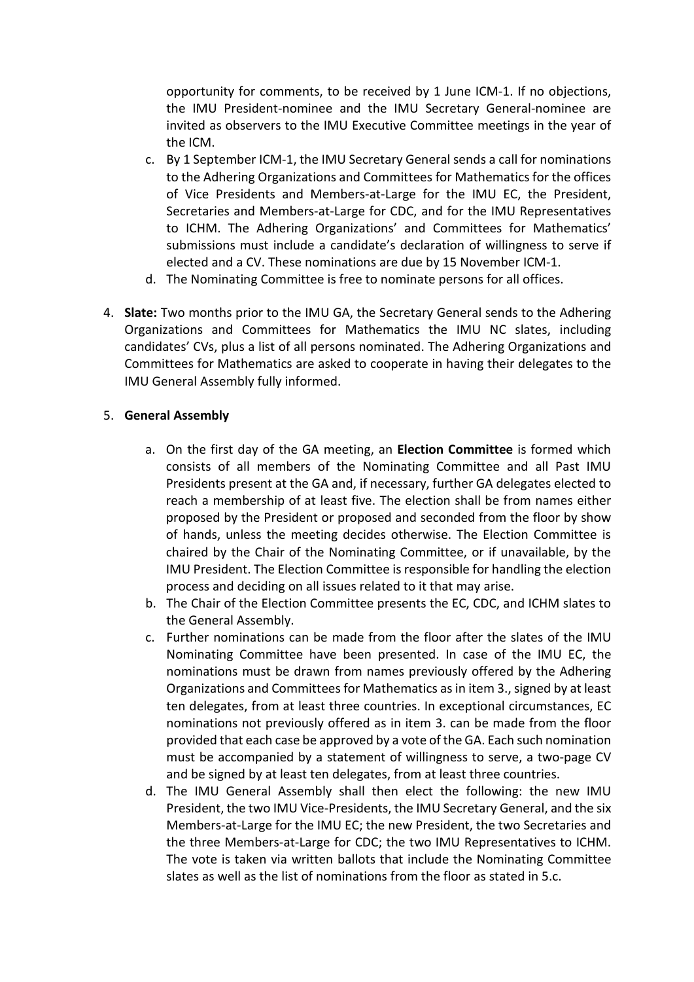opportunity for comments, to be received by 1 June ICM-1. If no objections, the IMU President-nominee and the IMU Secretary General-nominee are invited as observers to the IMU Executive Committee meetings in the year of the ICM.

- c. By 1 September ICM-1, the IMU Secretary General sends a call for nominations to the Adhering Organizations and Committees for Mathematics for the offices of Vice Presidents and Members-at-Large for the IMU EC, the President, Secretaries and Members-at-Large for CDC, and for the IMU Representatives to ICHM. The Adhering Organizations' and Committees for Mathematics' submissions must include a candidate's declaration of willingness to serve if elected and a CV. These nominations are due by 15 November ICM-1.
- d. The Nominating Committee is free to nominate persons for all offices.
- 4. **Slate:** Two months prior to the IMU GA, the Secretary General sends to the Adhering Organizations and Committees for Mathematics the IMU NC slates, including candidates' CVs, plus a list of all persons nominated. The Adhering Organizations and Committees for Mathematics are asked to cooperate in having their delegates to the IMU General Assembly fully informed.

#### 5. **General Assembly**

- a. On the first day of the GA meeting, an **Election Committee** is formed which consists of all members of the Nominating Committee and all Past IMU Presidents present at the GA and, if necessary, further GA delegates elected to reach a membership of at least five. The election shall be from names either proposed by the President or proposed and seconded from the floor by show of hands, unless the meeting decides otherwise. The Election Committee is chaired by the Chair of the Nominating Committee, or if unavailable, by the IMU President. The Election Committee is responsible for handling the election process and deciding on all issues related to it that may arise.
- b. The Chair of the Election Committee presents the EC, CDC, and ICHM slates to the General Assembly.
- c. Further nominations can be made from the floor after the slates of the IMU Nominating Committee have been presented. In case of the IMU EC, the nominations must be drawn from names previously offered by the Adhering Organizations and Committees for Mathematics as in item 3., signed by at least ten delegates, from at least three countries. In exceptional circumstances, EC nominations not previously offered as in item 3. can be made from the floor provided that each case be approved by a vote of the GA. Each such nomination must be accompanied by a statement of willingness to serve, a two-page CV and be signed by at least ten delegates, from at least three countries.
- d. The IMU General Assembly shall then elect the following: the new IMU President, the two IMU Vice-Presidents, the IMU Secretary General, and the six Members-at-Large for the IMU EC; the new President, the two Secretaries and the three Members-at-Large for CDC; the two IMU Representatives to ICHM. The vote is taken via written ballots that include the Nominating Committee slates as well as the list of nominations from the floor as stated in 5.c.